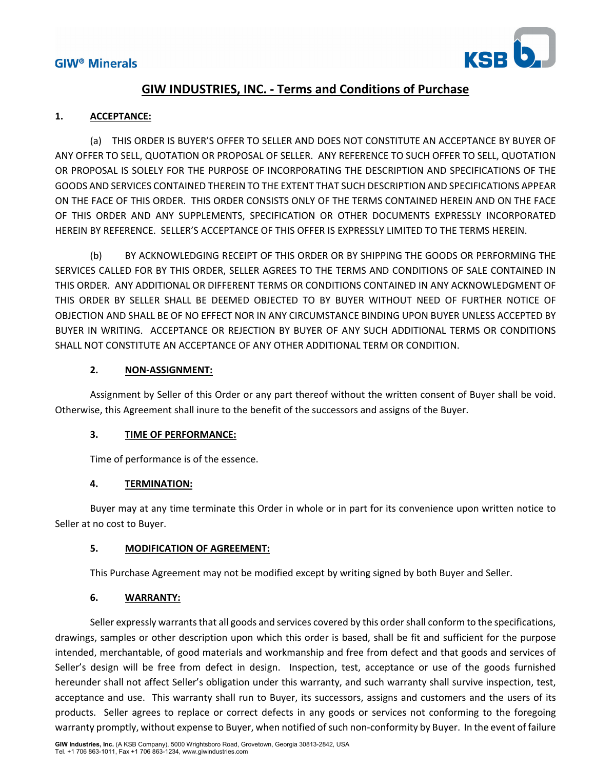

## **GIW INDUSTRIES, INC. ‐ Terms and Conditions of Purchase**

## **1. ACCEPTANCE:**

(a) THIS ORDER IS BUYER'S OFFER TO SELLER AND DOES NOT CONSTITUTE AN ACCEPTANCE BY BUYER OF ANY OFFER TO SELL, QUOTATION OR PROPOSAL OF SELLER. ANY REFERENCE TO SUCH OFFER TO SELL, QUOTATION OR PROPOSAL IS SOLELY FOR THE PURPOSE OF INCORPORATING THE DESCRIPTION AND SPECIFICATIONS OF THE GOODS AND SERVICES CONTAINED THEREIN TO THE EXTENT THAT SUCH DESCRIPTION AND SPECIFICATIONS APPEAR ON THE FACE OF THIS ORDER. THIS ORDER CONSISTS ONLY OF THE TERMS CONTAINED HEREIN AND ON THE FACE OF THIS ORDER AND ANY SUPPLEMENTS, SPECIFICATION OR OTHER DOCUMENTS EXPRESSLY INCORPORATED HEREIN BY REFERENCE. SELLER'S ACCEPTANCE OF THIS OFFER IS EXPRESSLY LIMITED TO THE TERMS HEREIN.

(b) BY ACKNOWLEDGING RECEIPT OF THIS ORDER OR BY SHIPPING THE GOODS OR PERFORMING THE SERVICES CALLED FOR BY THIS ORDER, SELLER AGREES TO THE TERMS AND CONDITIONS OF SALE CONTAINED IN THIS ORDER. ANY ADDITIONAL OR DIFFERENT TERMS OR CONDITIONS CONTAINED IN ANY ACKNOWLEDGMENT OF THIS ORDER BY SELLER SHALL BE DEEMED OBJECTED TO BY BUYER WITHOUT NEED OF FURTHER NOTICE OF OBJECTION AND SHALL BE OF NO EFFECT NOR IN ANY CIRCUMSTANCE BINDING UPON BUYER UNLESS ACCEPTED BY BUYER IN WRITING. ACCEPTANCE OR REJECTION BY BUYER OF ANY SUCH ADDITIONAL TERMS OR CONDITIONS SHALL NOT CONSTITUTE AN ACCEPTANCE OF ANY OTHER ADDITIONAL TERM OR CONDITION.

### **2. NON‐ASSIGNMENT:**

Assignment by Seller of this Order or any part thereof without the written consent of Buyer shall be void. Otherwise, this Agreement shall inure to the benefit of the successors and assigns of the Buyer.

#### **3. TIME OF PERFORMANCE:**

Time of performance is of the essence.

## **4. TERMINATION:**

Buyer may at any time terminate this Order in whole or in part for its convenience upon written notice to Seller at no cost to Buyer.

#### **5. MODIFICATION OF AGREEMENT:**

This Purchase Agreement may not be modified except by writing signed by both Buyer and Seller.

## **6. WARRANTY:**

Seller expressly warrants that all goods and services covered by this order shall conform to the specifications, drawings, samples or other description upon which this order is based, shall be fit and sufficient for the purpose intended, merchantable, of good materials and workmanship and free from defect and that goods and services of Seller's design will be free from defect in design. Inspection, test, acceptance or use of the goods furnished hereunder shall not affect Seller's obligation under this warranty, and such warranty shall survive inspection, test, acceptance and use. This warranty shall run to Buyer, its successors, assigns and customers and the users of its products. Seller agrees to replace or correct defects in any goods or services not conforming to the foregoing warranty promptly, without expense to Buyer, when notified of such non-conformity by Buyer. In the event of failure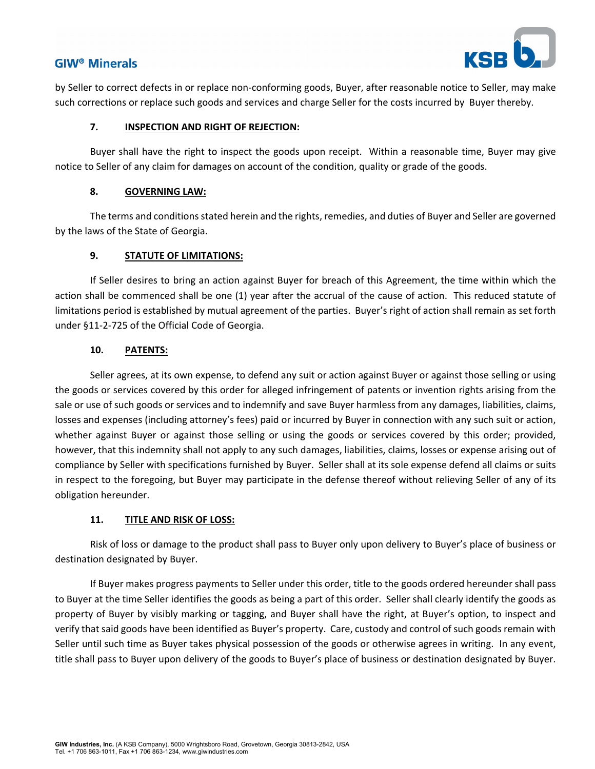

by Seller to correct defects in or replace non‐conforming goods, Buyer, after reasonable notice to Seller, may make such corrections or replace such goods and services and charge Seller for the costs incurred by Buyer thereby.

#### **7. INSPECTION AND RIGHT OF REJECTION:**

Buyer shall have the right to inspect the goods upon receipt. Within a reasonable time, Buyer may give notice to Seller of any claim for damages on account of the condition, quality or grade of the goods.

#### **8. GOVERNING LAW:**

The terms and conditions stated herein and the rights, remedies, and duties of Buyer and Seller are governed by the laws of the State of Georgia.

#### **9. STATUTE OF LIMITATIONS:**

If Seller desires to bring an action against Buyer for breach of this Agreement, the time within which the action shall be commenced shall be one (1) year after the accrual of the cause of action. This reduced statute of limitations period is established by mutual agreement of the parties. Buyer's right of action shall remain as set forth under §11‐2‐725 of the Official Code of Georgia.

#### **10. PATENTS:**

Seller agrees, at its own expense, to defend any suit or action against Buyer or against those selling or using the goods or services covered by this order for alleged infringement of patents or invention rights arising from the sale or use of such goods or services and to indemnify and save Buyer harmless from any damages, liabilities, claims, losses and expenses (including attorney's fees) paid or incurred by Buyer in connection with any such suit or action, whether against Buyer or against those selling or using the goods or services covered by this order; provided, however, that this indemnity shall not apply to any such damages, liabilities, claims, losses or expense arising out of compliance by Seller with specifications furnished by Buyer. Seller shall at its sole expense defend all claims or suits in respect to the foregoing, but Buyer may participate in the defense thereof without relieving Seller of any of its obligation hereunder.

#### **11. TITLE AND RISK OF LOSS:**

Risk of loss or damage to the product shall pass to Buyer only upon delivery to Buyer's place of business or destination designated by Buyer.

If Buyer makes progress payments to Seller under this order, title to the goods ordered hereunder shall pass to Buyer at the time Seller identifies the goods as being a part of this order. Seller shall clearly identify the goods as property of Buyer by visibly marking or tagging, and Buyer shall have the right, at Buyer's option, to inspect and verify that said goods have been identified as Buyer's property. Care, custody and control of such goods remain with Seller until such time as Buyer takes physical possession of the goods or otherwise agrees in writing. In any event, title shall pass to Buyer upon delivery of the goods to Buyer's place of business or destination designated by Buyer.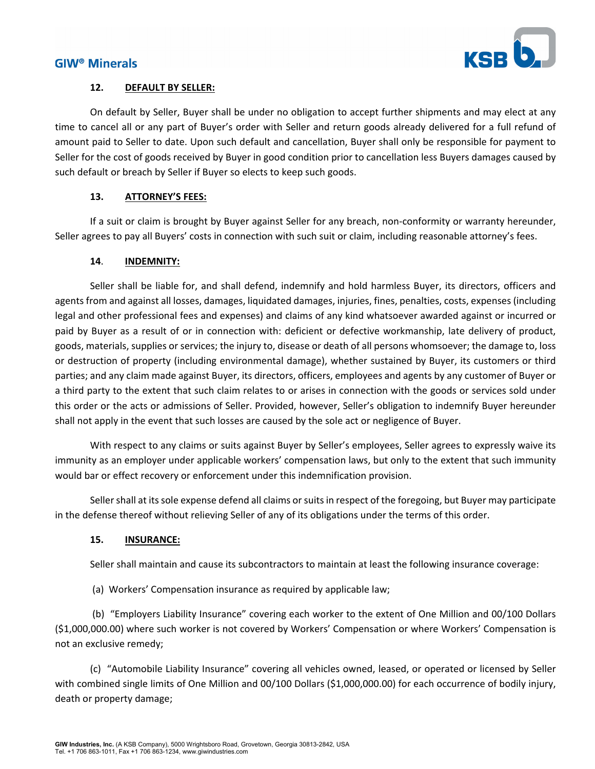

### **12. DEFAULT BY SELLER:**

On default by Seller, Buyer shall be under no obligation to accept further shipments and may elect at any time to cancel all or any part of Buyer's order with Seller and return goods already delivered for a full refund of amount paid to Seller to date. Upon such default and cancellation, Buyer shall only be responsible for payment to Seller for the cost of goods received by Buyer in good condition prior to cancellation less Buyers damages caused by such default or breach by Seller if Buyer so elects to keep such goods.

## **13. ATTORNEY'S FEES:**

If a suit or claim is brought by Buyer against Seller for any breach, non-conformity or warranty hereunder, Seller agrees to pay all Buyers' costs in connection with such suit or claim, including reasonable attorney's fees.

### **14**. **INDEMNITY:**

Seller shall be liable for, and shall defend, indemnify and hold harmless Buyer, its directors, officers and agents from and against all losses, damages, liquidated damages, injuries, fines, penalties, costs, expenses (including legal and other professional fees and expenses) and claims of any kind whatsoever awarded against or incurred or paid by Buyer as a result of or in connection with: deficient or defective workmanship, late delivery of product, goods, materials, supplies or services; the injury to, disease or death of all persons whomsoever; the damage to, loss or destruction of property (including environmental damage), whether sustained by Buyer, its customers or third parties; and any claim made against Buyer, its directors, officers, employees and agents by any customer of Buyer or a third party to the extent that such claim relates to or arises in connection with the goods or services sold under this order or the acts or admissions of Seller. Provided, however, Seller's obligation to indemnify Buyer hereunder shall not apply in the event that such losses are caused by the sole act or negligence of Buyer.

With respect to any claims or suits against Buyer by Seller's employees, Seller agrees to expressly waive its immunity as an employer under applicable workers' compensation laws, but only to the extent that such immunity would bar or effect recovery or enforcement under this indemnification provision.

Seller shall at its sole expense defend all claims or suits in respect of the foregoing, but Buyer may participate in the defense thereof without relieving Seller of any of its obligations under the terms of this order.

#### **15. INSURANCE:**

Seller shall maintain and cause its subcontractors to maintain at least the following insurance coverage:

(a) Workers' Compensation insurance as required by applicable law;

 (b) "Employers Liability Insurance" covering each worker to the extent of One Million and 00/100 Dollars (\$1,000,000.00) where such worker is not covered by Workers' Compensation or where Workers' Compensation is not an exclusive remedy;

(c) "Automobile Liability Insurance" covering all vehicles owned, leased, or operated or licensed by Seller with combined single limits of One Million and 00/100 Dollars (\$1,000,000.00) for each occurrence of bodily injury, death or property damage;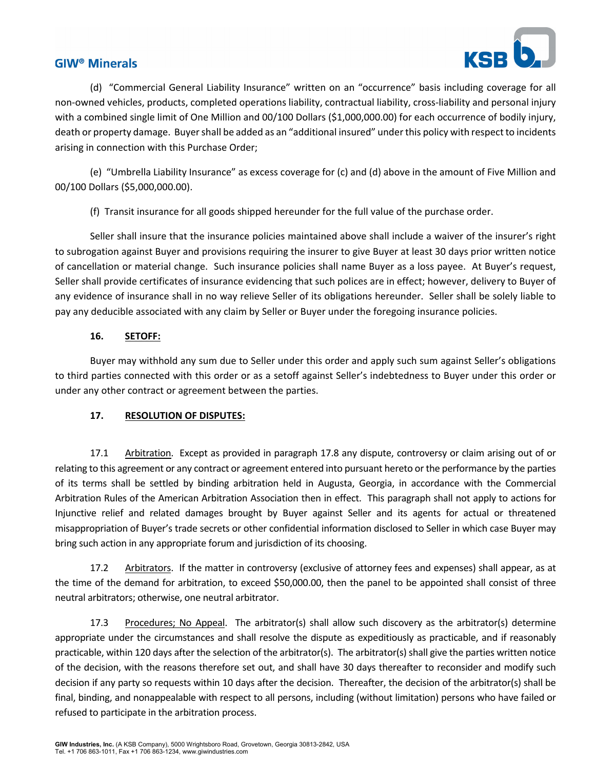

(d) "Commercial General Liability Insurance" written on an "occurrence" basis including coverage for all non‐owned vehicles, products, completed operations liability, contractual liability, cross‐liability and personal injury with a combined single limit of One Million and 00/100 Dollars (\$1,000,000.00) for each occurrence of bodily injury, death or property damage. Buyershall be added as an "additional insured" underthis policy with respect to incidents arising in connection with this Purchase Order;

(e) "Umbrella Liability Insurance" as excess coverage for (c) and (d) above in the amount of Five Million and 00/100 Dollars (\$5,000,000.00).

(f) Transit insurance for all goods shipped hereunder for the full value of the purchase order.

Seller shall insure that the insurance policies maintained above shall include a waiver of the insurer's right to subrogation against Buyer and provisions requiring the insurer to give Buyer at least 30 days prior written notice of cancellation or material change. Such insurance policies shall name Buyer as a loss payee. At Buyer's request, Seller shall provide certificates of insurance evidencing that such polices are in effect; however, delivery to Buyer of any evidence of insurance shall in no way relieve Seller of its obligations hereunder. Seller shall be solely liable to pay any deducible associated with any claim by Seller or Buyer under the foregoing insurance policies.

#### **16. SETOFF:**

Buyer may withhold any sum due to Seller under this order and apply such sum against Seller's obligations to third parties connected with this order or as a setoff against Seller's indebtedness to Buyer under this order or under any other contract or agreement between the parties.

#### **17. RESOLUTION OF DISPUTES:**

17.1 Arbitration. Except as provided in paragraph 17.8 any dispute, controversy or claim arising out of or relating to this agreement or any contract or agreement entered into pursuant hereto or the performance by the parties of its terms shall be settled by binding arbitration held in Augusta, Georgia, in accordance with the Commercial Arbitration Rules of the American Arbitration Association then in effect. This paragraph shall not apply to actions for Injunctive relief and related damages brought by Buyer against Seller and its agents for actual or threatened misappropriation of Buyer's trade secrets or other confidential information disclosed to Seller in which case Buyer may bring such action in any appropriate forum and jurisdiction of its choosing.

17.2 Arbitrators. If the matter in controversy (exclusive of attorney fees and expenses) shall appear, as at the time of the demand for arbitration, to exceed \$50,000.00, then the panel to be appointed shall consist of three neutral arbitrators; otherwise, one neutral arbitrator.

17.3 Procedures; No Appeal. The arbitrator(s) shall allow such discovery as the arbitrator(s) determine appropriate under the circumstances and shall resolve the dispute as expeditiously as practicable, and if reasonably practicable, within 120 days after the selection of the arbitrator(s). The arbitrator(s) shall give the parties written notice of the decision, with the reasons therefore set out, and shall have 30 days thereafter to reconsider and modify such decision if any party so requests within 10 days after the decision. Thereafter, the decision of the arbitrator(s) shall be final, binding, and nonappealable with respect to all persons, including (without limitation) persons who have failed or refused to participate in the arbitration process.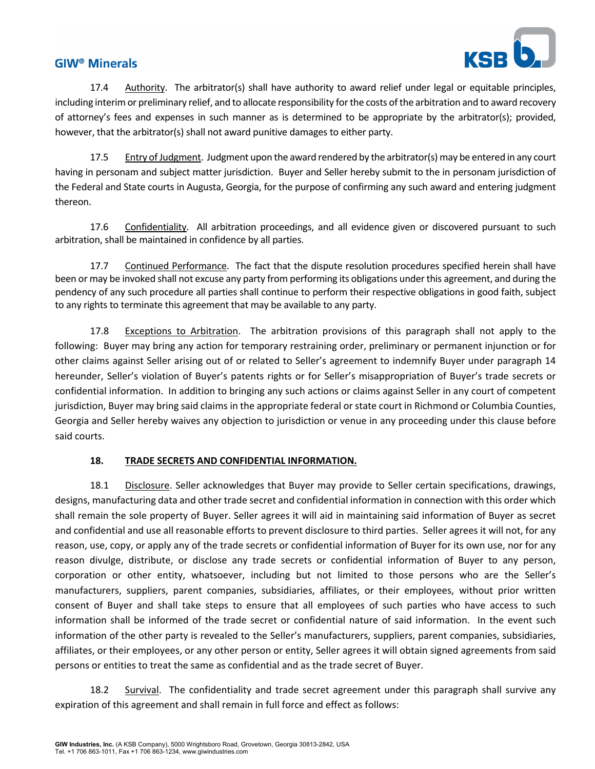

17.4 Authority. The arbitrator(s) shall have authority to award relief under legal or equitable principles, including interim or preliminary relief, and to allocate responsibility for the costs of the arbitration and to award recovery of attorney's fees and expenses in such manner as is determined to be appropriate by the arbitrator(s); provided, however, that the arbitrator(s) shall not award punitive damages to either party.

17.5 Entry ofJudgment. Judgment upon the award rendered by the arbitrator(s) may be entered in any court having in personam and subject matter jurisdiction. Buyer and Seller hereby submit to the in personam jurisdiction of the Federal and State courts in Augusta, Georgia, for the purpose of confirming any such award and entering judgment thereon.

17.6 Confidentiality. All arbitration proceedings, and all evidence given or discovered pursuant to such arbitration, shall be maintained in confidence by all parties.

17.7 Continued Performance. The fact that the dispute resolution procedures specified herein shall have been or may be invoked shall not excuse any party from performing its obligations under this agreement, and during the pendency of any such procedure all parties shall continue to perform their respective obligations in good faith, subject to any rights to terminate this agreement that may be available to any party.

17.8 Exceptions to Arbitration. The arbitration provisions of this paragraph shall not apply to the following: Buyer may bring any action for temporary restraining order, preliminary or permanent injunction or for other claims against Seller arising out of or related to Seller's agreement to indemnify Buyer under paragraph 14 hereunder, Seller's violation of Buyer's patents rights or for Seller's misappropriation of Buyer's trade secrets or confidential information. In addition to bringing any such actions or claims against Seller in any court of competent jurisdiction, Buyer may bring said claims in the appropriate federal or state court in Richmond or Columbia Counties, Georgia and Seller hereby waives any objection to jurisdiction or venue in any proceeding under this clause before said courts.

#### **18. TRADE SECRETS AND CONFIDENTIAL INFORMATION.**

18.1 Disclosure. Seller acknowledges that Buyer may provide to Seller certain specifications, drawings, designs, manufacturing data and other trade secret and confidential information in connection with this order which shall remain the sole property of Buyer. Seller agrees it will aid in maintaining said information of Buyer as secret and confidential and use all reasonable efforts to prevent disclosure to third parties. Seller agrees it will not, for any reason, use, copy, or apply any of the trade secrets or confidential information of Buyer for its own use, nor for any reason divulge, distribute, or disclose any trade secrets or confidential information of Buyer to any person, corporation or other entity, whatsoever, including but not limited to those persons who are the Seller's manufacturers, suppliers, parent companies, subsidiaries, affiliates, or their employees, without prior written consent of Buyer and shall take steps to ensure that all employees of such parties who have access to such information shall be informed of the trade secret or confidential nature of said information. In the event such information of the other party is revealed to the Seller's manufacturers, suppliers, parent companies, subsidiaries, affiliates, or their employees, or any other person or entity, Seller agrees it will obtain signed agreements from said persons or entities to treat the same as confidential and as the trade secret of Buyer.

18.2 Survival. The confidentiality and trade secret agreement under this paragraph shall survive any expiration of this agreement and shall remain in full force and effect as follows: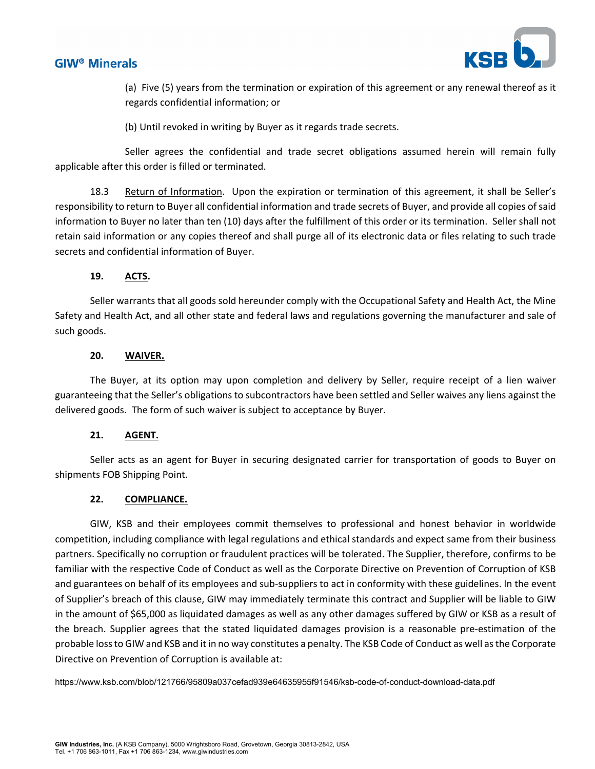



(a) Five (5) years from the termination or expiration of this agreement or any renewal thereof as it regards confidential information; or

(b) Until revoked in writing by Buyer as it regards trade secrets.

Seller agrees the confidential and trade secret obligations assumed herein will remain fully applicable after this order is filled or terminated.

18.3 Return of Information. Upon the expiration or termination of this agreement, it shall be Seller's responsibility to return to Buyer all confidential information and trade secrets of Buyer, and provide all copies ofsaid information to Buyer no later than ten (10) days after the fulfillment of this order or its termination. Seller shall not retain said information or any copies thereof and shall purge all of its electronic data or files relating to such trade secrets and confidential information of Buyer.

### **19. ACTS.**

Seller warrants that all goods sold hereunder comply with the Occupational Safety and Health Act, the Mine Safety and Health Act, and all other state and federal laws and regulations governing the manufacturer and sale of such goods.

### **20. WAIVER.**

The Buyer, at its option may upon completion and delivery by Seller, require receipt of a lien waiver guaranteeing that the Seller's obligations to subcontractors have been settled and Seller waives any liens against the delivered goods. The form of such waiver is subject to acceptance by Buyer.

#### **21. AGENT.**

Seller acts as an agent for Buyer in securing designated carrier for transportation of goods to Buyer on shipments FOB Shipping Point.

#### **22. COMPLIANCE.**

GIW, KSB and their employees commit themselves to professional and honest behavior in worldwide competition, including compliance with legal regulations and ethical standards and expect same from their business partners. Specifically no corruption or fraudulent practices will be tolerated. The Supplier, therefore, confirms to be familiar with the respective Code of Conduct as well as the Corporate Directive on Prevention of Corruption of KSB and guarantees on behalf of its employees and sub-suppliers to act in conformity with these guidelines. In the event of Supplier's breach of this clause, GIW may immediately terminate this contract and Supplier will be liable to GIW in the amount of \$65,000 as liquidated damages as well as any other damages suffered by GIW or KSB as a result of the breach. Supplier agrees that the stated liquidated damages provision is a reasonable pre‐estimation of the probable lossto GIW and KSB and it in no way constitutes a penalty. The KSB Code of Conduct as well asthe Corporate Directive on Prevention of Corruption is available at:

https://www.ksb.com/blob/121766/95809a037cefad939e64635955f91546/ksb-code-of-conduct-download-data.pdf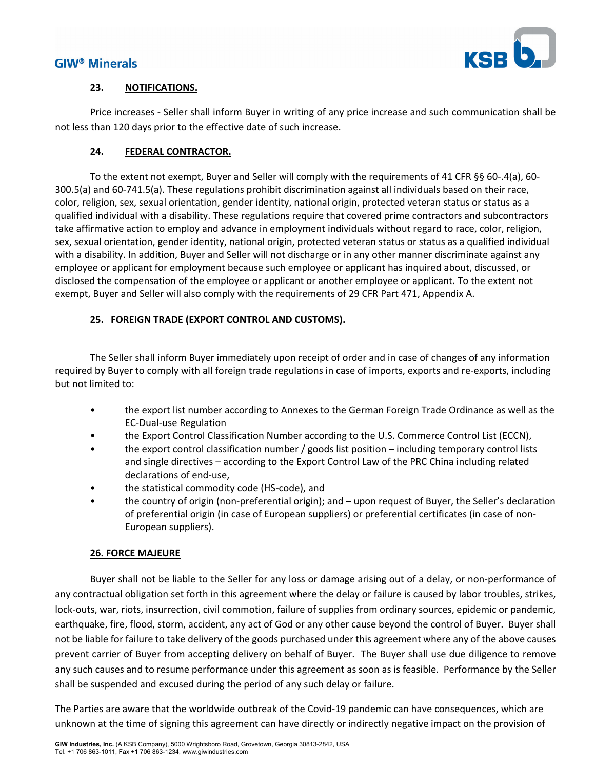

#### **23. NOTIFICATIONS.**

Price increases ‐ Seller shall inform Buyer in writing of any price increase and such communication shall be not less than 120 days prior to the effective date of such increase.

### **24. FEDERAL CONTRACTOR.**

To the extent not exempt, Buyer and Seller will comply with the requirements of 41 CFR §§ 60‐.4(a), 60‐ 300.5(a) and 60‐741.5(a). These regulations prohibit discrimination against all individuals based on their race, color, religion, sex, sexual orientation, gender identity, national origin, protected veteran status or status as a qualified individual with a disability. These regulations require that covered prime contractors and subcontractors take affirmative action to employ and advance in employment individuals without regard to race, color, religion, sex, sexual orientation, gender identity, national origin, protected veteran status or status as a qualified individual with a disability. In addition, Buyer and Seller will not discharge or in any other manner discriminate against any employee or applicant for employment because such employee or applicant has inquired about, discussed, or disclosed the compensation of the employee or applicant or another employee or applicant. To the extent not exempt, Buyer and Seller will also comply with the requirements of 29 CFR Part 471, Appendix A.

## **25. FOREIGN TRADE (EXPORT CONTROL AND CUSTOMS).**

The Seller shall inform Buyer immediately upon receipt of order and in case of changes of any information required by Buyer to comply with all foreign trade regulations in case of imports, exports and re‐exports, including but not limited to:

- the export list number according to Annexes to the German Foreign Trade Ordinance as well as the EC‐Dual‐use Regulation
- the Export Control Classification Number according to the U.S. Commerce Control List (ECCN),
- the export control classification number / goods list position including temporary control lists and single directives – according to the Export Control Law of the PRC China including related declarations of end‐use,
- the statistical commodity code (HS-code), and
- the country of origin (non-preferential origin); and upon request of Buyer, the Seller's declaration of preferential origin (in case of European suppliers) or preferential certificates (in case of non‐ European suppliers).

#### **26. FORCE MAJEURE**

Buyer shall not be liable to the Seller for any loss or damage arising out of a delay, or non‐performance of any contractual obligation set forth in this agreement where the delay or failure is caused by labor troubles, strikes, lock-outs, war, riots, insurrection, civil commotion, failure of supplies from ordinary sources, epidemic or pandemic, earthquake, fire, flood, storm, accident, any act of God or any other cause beyond the control of Buyer. Buyer shall not be liable for failure to take delivery of the goods purchased under this agreement where any of the above causes prevent carrier of Buyer from accepting delivery on behalf of Buyer. The Buyer shall use due diligence to remove any such causes and to resume performance under this agreement as soon as is feasible. Performance by the Seller shall be suspended and excused during the period of any such delay or failure.

The Parties are aware that the worldwide outbreak of the Covid‐19 pandemic can have consequences, which are unknown at the time of signing this agreement can have directly or indirectly negative impact on the provision of